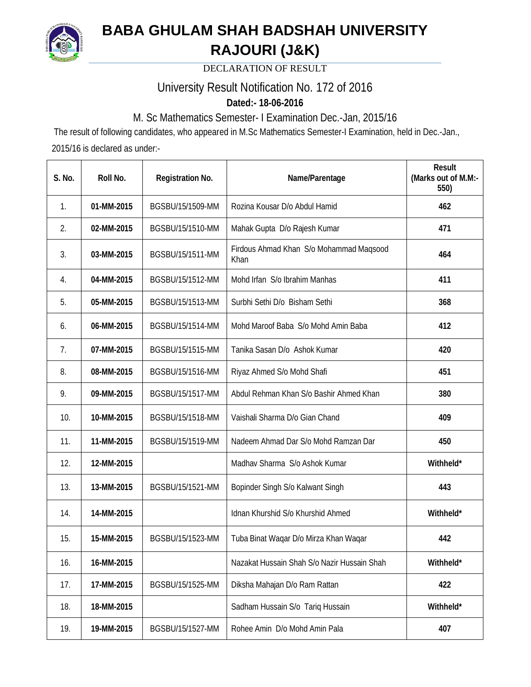

## **BABA GHULAM SHAH BADSHAH UNIVERSITY RAJOURI (J&K)**

DECLARATION OF RESULT

## University Result Notification No. 172 of 2016

**Dated:- 18-06-2016**

M. Sc Mathematics Semester- I Examination Dec.-Jan, 2015/16

The result of following candidates, who appeared in M.Sc Mathematics Semester-I Examination, held in Dec.-Jan.,

2015/16 is declared as under:-

| S. No.         | Roll No.   | Registration No. | Name/Parentage                                  | Result<br>(Marks out of M.M:-<br>550) |
|----------------|------------|------------------|-------------------------------------------------|---------------------------------------|
| $\mathbf{1}$ . | 01-MM-2015 | BGSBU/15/1509-MM | Rozina Kousar D/o Abdul Hamid                   | 462                                   |
| 2.             | 02-MM-2015 | BGSBU/15/1510-MM | Mahak Gupta D/o Rajesh Kumar                    | 471                                   |
| 3.             | 03-MM-2015 | BGSBU/15/1511-MM | Firdous Ahmad Khan S/o Mohammad Maqsood<br>Khan | 464                                   |
| 4.             | 04-MM-2015 | BGSBU/15/1512-MM | Mohd Irfan S/o Ibrahim Manhas                   | 411                                   |
| 5.             | 05-MM-2015 | BGSBU/15/1513-MM | Surbhi Sethi D/o Bisham Sethi                   | 368                                   |
| 6.             | 06-MM-2015 | BGSBU/15/1514-MM | Mohd Maroof Baba S/o Mohd Amin Baba             | 412                                   |
| 7.             | 07-MM-2015 | BGSBU/15/1515-MM | Tanika Sasan D/o Ashok Kumar                    | 420                                   |
| 8.             | 08-MM-2015 | BGSBU/15/1516-MM | Riyaz Ahmed S/o Mohd Shafi                      | 451                                   |
| 9.             | 09-MM-2015 | BGSBU/15/1517-MM | Abdul Rehman Khan S/o Bashir Ahmed Khan         | 380                                   |
| 10.            | 10-MM-2015 | BGSBU/15/1518-MM | Vaishali Sharma D/o Gian Chand                  | 409                                   |
| 11.            | 11-MM-2015 | BGSBU/15/1519-MM | Nadeem Ahmad Dar S/o Mohd Ramzan Dar            | 450                                   |
| 12.            | 12-MM-2015 |                  | Madhav Sharma S/o Ashok Kumar                   | Withheld*                             |
| 13.            | 13-MM-2015 | BGSBU/15/1521-MM | Bopinder Singh S/o Kalwant Singh                | 443                                   |
| 14.            | 14-MM-2015 |                  | Idnan Khurshid S/o Khurshid Ahmed               | Withheld*                             |
| 15.            | 15-MM-2015 | BGSBU/15/1523-MM | Tuba Binat Waqar D/o Mirza Khan Waqar           | 442                                   |
| 16.            | 16-MM-2015 |                  | Nazakat Hussain Shah S/o Nazir Hussain Shah     | Withheld*                             |
| 17.            | 17-MM-2015 | BGSBU/15/1525-MM | Diksha Mahajan D/o Ram Rattan                   | 422                                   |
| 18.            | 18-MM-2015 |                  | Sadham Hussain S/o Tariq Hussain                | Withheld*                             |
| 19.            | 19-MM-2015 | BGSBU/15/1527-MM | Rohee Amin D/o Mohd Amin Pala                   | 407                                   |